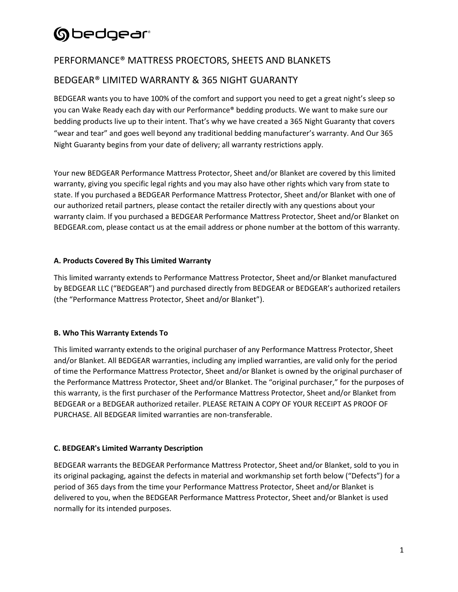### PERFORMANCE® MATTRESS PROECTORS, SHEETS AND BLANKETS

### BEDGEAR® LIMITED WARRANTY & 365 NIGHT GUARANTY

BEDGEAR wants you to have 100% of the comfort and support you need to get a great night's sleep so you can Wake Ready each day with our Performance® bedding products. We want to make sure our bedding products live up to their intent. That's why we have created a 365 Night Guaranty that covers "wear and tear" and goes well beyond any traditional bedding manufacturer's warranty. And Our 365 Night Guaranty begins from your date of delivery; all warranty restrictions apply.

Your new BEDGEAR Performance Mattress Protector, Sheet and/or Blanket are covered by this limited warranty, giving you specific legal rights and you may also have other rights which vary from state to state. If you purchased a BEDGEAR Performance Mattress Protector, Sheet and/or Blanket with one of our authorized retail partners, please contact the retailer directly with any questions about your warranty claim. If you purchased a BEDGEAR Performance Mattress Protector, Sheet and/or Blanket on BEDGEAR.com, please contact us at the email address or phone number at the bottom of this warranty.

### **A. Products Covered By This Limited Warranty**

This limited warranty extends to Performance Mattress Protector, Sheet and/or Blanket manufactured by BEDGEAR LLC ("BEDGEAR") and purchased directly from BEDGEAR or BEDGEAR's authorized retailers (the "Performance Mattress Protector, Sheet and/or Blanket").

### **B. Who This Warranty Extends To**

This limited warranty extends to the original purchaser of any Performance Mattress Protector, Sheet and/or Blanket. All BEDGEAR warranties, including any implied warranties, are valid only for the period of time the Performance Mattress Protector, Sheet and/or Blanket is owned by the original purchaser of the Performance Mattress Protector, Sheet and/or Blanket. The "original purchaser," for the purposes of this warranty, is the first purchaser of the Performance Mattress Protector, Sheet and/or Blanket from BEDGEAR or a BEDGEAR authorized retailer. PLEASE RETAIN A COPY OF YOUR RECEIPT AS PROOF OF PURCHASE. All BEDGEAR limited warranties are non-transferable.

### **C. BEDGEAR's Limited Warranty Description**

BEDGEAR warrants the BEDGEAR Performance Mattress Protector, Sheet and/or Blanket, sold to you in its original packaging, against the defects in material and workmanship set forth below ("Defects") for a period of 365 days from the time your Performance Mattress Protector, Sheet and/or Blanket is delivered to you, when the BEDGEAR Performance Mattress Protector, Sheet and/or Blanket is used normally for its intended purposes.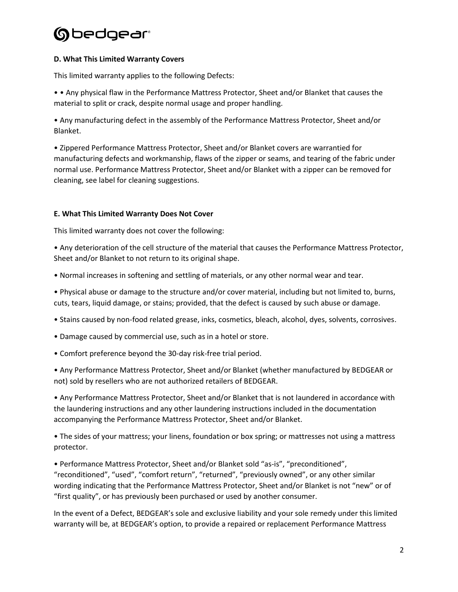#### **D. What This Limited Warranty Covers**

This limited warranty applies to the following Defects:

• • Any physical flaw in the Performance Mattress Protector, Sheet and/or Blanket that causes the material to split or crack, despite normal usage and proper handling.

• Any manufacturing defect in the assembly of the Performance Mattress Protector, Sheet and/or Blanket.

• Zippered Performance Mattress Protector, Sheet and/or Blanket covers are warrantied for manufacturing defects and workmanship, flaws of the zipper or seams, and tearing of the fabric under normal use. Performance Mattress Protector, Sheet and/or Blanket with a zipper can be removed for cleaning, see label for cleaning suggestions.

### **E. What This Limited Warranty Does Not Cover**

This limited warranty does not cover the following:

• Any deterioration of the cell structure of the material that causes the Performance Mattress Protector, Sheet and/or Blanket to not return to its original shape.

• Normal increases in softening and settling of materials, or any other normal wear and tear.

• Physical abuse or damage to the structure and/or cover material, including but not limited to, burns, cuts, tears, liquid damage, or stains; provided, that the defect is caused by such abuse or damage.

- Stains caused by non-food related grease, inks, cosmetics, bleach, alcohol, dyes, solvents, corrosives.
- Damage caused by commercial use, such as in a hotel or store.
- Comfort preference beyond the 30-day risk-free trial period.

• Any Performance Mattress Protector, Sheet and/or Blanket (whether manufactured by BEDGEAR or not) sold by resellers who are not authorized retailers of BEDGEAR.

• Any Performance Mattress Protector, Sheet and/or Blanket that is not laundered in accordance with the laundering instructions and any other laundering instructions included in the documentation accompanying the Performance Mattress Protector, Sheet and/or Blanket.

• The sides of your mattress; your linens, foundation or box spring; or mattresses not using a mattress protector.

• Performance Mattress Protector, Sheet and/or Blanket sold "as-is", "preconditioned", "reconditioned", "used", "comfort return", "returned", "previously owned", or any other similar wording indicating that the Performance Mattress Protector, Sheet and/or Blanket is not "new" or of "first quality", or has previously been purchased or used by another consumer.

In the event of a Defect, BEDGEAR's sole and exclusive liability and your sole remedy under this limited warranty will be, at BEDGEAR's option, to provide a repaired or replacement Performance Mattress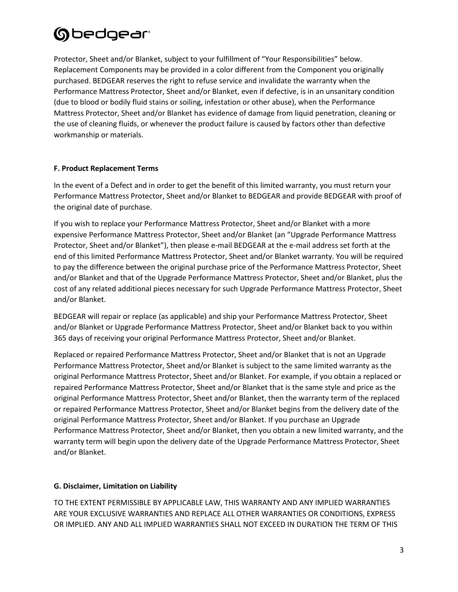Protector, Sheet and/or Blanket, subject to your fulfillment of "Your Responsibilities" below. Replacement Components may be provided in a color different from the Component you originally purchased. BEDGEAR reserves the right to refuse service and invalidate the warranty when the Performance Mattress Protector, Sheet and/or Blanket, even if defective, is in an unsanitary condition (due to blood or bodily fluid stains or soiling, infestation or other abuse), when the Performance Mattress Protector, Sheet and/or Blanket has evidence of damage from liquid penetration, cleaning or the use of cleaning fluids, or whenever the product failure is caused by factors other than defective workmanship or materials.

### **F. Product Replacement Terms**

In the event of a Defect and in order to get the benefit of this limited warranty, you must return your Performance Mattress Protector, Sheet and/or Blanket to BEDGEAR and provide BEDGEAR with proof of the original date of purchase.

If you wish to replace your Performance Mattress Protector, Sheet and/or Blanket with a more expensive Performance Mattress Protector, Sheet and/or Blanket (an "Upgrade Performance Mattress Protector, Sheet and/or Blanket"), then please e-mail BEDGEAR at the e-mail address set forth at the end of this limited Performance Mattress Protector, Sheet and/or Blanket warranty. You will be required to pay the difference between the original purchase price of the Performance Mattress Protector, Sheet and/or Blanket and that of the Upgrade Performance Mattress Protector, Sheet and/or Blanket, plus the cost of any related additional pieces necessary for such Upgrade Performance Mattress Protector, Sheet and/or Blanket.

BEDGEAR will repair or replace (as applicable) and ship your Performance Mattress Protector, Sheet and/or Blanket or Upgrade Performance Mattress Protector, Sheet and/or Blanket back to you within 365 days of receiving your original Performance Mattress Protector, Sheet and/or Blanket.

Replaced or repaired Performance Mattress Protector, Sheet and/or Blanket that is not an Upgrade Performance Mattress Protector, Sheet and/or Blanket is subject to the same limited warranty as the original Performance Mattress Protector, Sheet and/or Blanket. For example, if you obtain a replaced or repaired Performance Mattress Protector, Sheet and/or Blanket that is the same style and price as the original Performance Mattress Protector, Sheet and/or Blanket, then the warranty term of the replaced or repaired Performance Mattress Protector, Sheet and/or Blanket begins from the delivery date of the original Performance Mattress Protector, Sheet and/or Blanket. If you purchase an Upgrade Performance Mattress Protector, Sheet and/or Blanket, then you obtain a new limited warranty, and the warranty term will begin upon the delivery date of the Upgrade Performance Mattress Protector, Sheet and/or Blanket.

### **G. Disclaimer, Limitation on Liability**

TO THE EXTENT PERMISSIBLE BY APPLICABLE LAW, THIS WARRANTY AND ANY IMPLIED WARRANTIES ARE YOUR EXCLUSIVE WARRANTIES AND REPLACE ALL OTHER WARRANTIES OR CONDITIONS, EXPRESS OR IMPLIED. ANY AND ALL IMPLIED WARRANTIES SHALL NOT EXCEED IN DURATION THE TERM OF THIS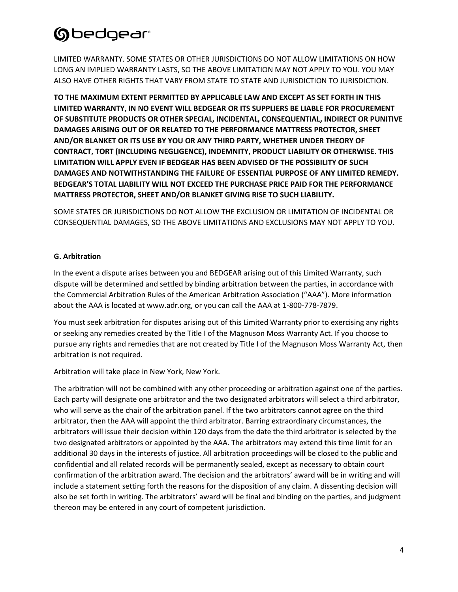LIMITED WARRANTY. SOME STATES OR OTHER JURISDICTIONS DO NOT ALLOW LIMITATIONS ON HOW LONG AN IMPLIED WARRANTY LASTS, SO THE ABOVE LIMITATION MAY NOT APPLY TO YOU. YOU MAY ALSO HAVE OTHER RIGHTS THAT VARY FROM STATE TO STATE AND JURISDICTION TO JURISDICTION.

**TO THE MAXIMUM EXTENT PERMITTED BY APPLICABLE LAW AND EXCEPT AS SET FORTH IN THIS LIMITED WARRANTY, IN NO EVENT WILL BEDGEAR OR ITS SUPPLIERS BE LIABLE FOR PROCUREMENT OF SUBSTITUTE PRODUCTS OR OTHER SPECIAL, INCIDENTAL, CONSEQUENTIAL, INDIRECT OR PUNITIVE DAMAGES ARISING OUT OF OR RELATED TO THE PERFORMANCE MATTRESS PROTECTOR, SHEET AND/OR BLANKET OR ITS USE BY YOU OR ANY THIRD PARTY, WHETHER UNDER THEORY OF CONTRACT, TORT (INCLUDING NEGLIGENCE), INDEMNITY, PRODUCT LIABILITY OR OTHERWISE. THIS LIMITATION WILL APPLY EVEN IF BEDGEAR HAS BEEN ADVISED OF THE POSSIBILITY OF SUCH DAMAGES AND NOTWITHSTANDING THE FAILURE OF ESSENTIAL PURPOSE OF ANY LIMITED REMEDY. BEDGEAR'S TOTAL LIABILITY WILL NOT EXCEED THE PURCHASE PRICE PAID FOR THE PERFORMANCE MATTRESS PROTECTOR, SHEET AND/OR BLANKET GIVING RISE TO SUCH LIABILITY.**

SOME STATES OR JURISDICTIONS DO NOT ALLOW THE EXCLUSION OR LIMITATION OF INCIDENTAL OR CONSEQUENTIAL DAMAGES, SO THE ABOVE LIMITATIONS AND EXCLUSIONS MAY NOT APPLY TO YOU.

### **G. Arbitration**

In the event a dispute arises between you and BEDGEAR arising out of this Limited Warranty, such dispute will be determined and settled by binding arbitration between the parties, in accordance with the Commercial Arbitration Rules of the American Arbitration Association ("AAA"). More information about the AAA is located at www.adr.org, or you can call the AAA at 1-800-778-7879.

You must seek arbitration for disputes arising out of this Limited Warranty prior to exercising any rights or seeking any remedies created by the Title I of the Magnuson Moss Warranty Act. If you choose to pursue any rights and remedies that are not created by Title I of the Magnuson Moss Warranty Act, then arbitration is not required.

Arbitration will take place in New York, New York.

The arbitration will not be combined with any other proceeding or arbitration against one of the parties. Each party will designate one arbitrator and the two designated arbitrators will select a third arbitrator, who will serve as the chair of the arbitration panel. If the two arbitrators cannot agree on the third arbitrator, then the AAA will appoint the third arbitrator. Barring extraordinary circumstances, the arbitrators will issue their decision within 120 days from the date the third arbitrator is selected by the two designated arbitrators or appointed by the AAA. The arbitrators may extend this time limit for an additional 30 days in the interests of justice. All arbitration proceedings will be closed to the public and confidential and all related records will be permanently sealed, except as necessary to obtain court confirmation of the arbitration award. The decision and the arbitrators' award will be in writing and will include a statement setting forth the reasons for the disposition of any claim. A dissenting decision will also be set forth in writing. The arbitrators' award will be final and binding on the parties, and judgment thereon may be entered in any court of competent jurisdiction.